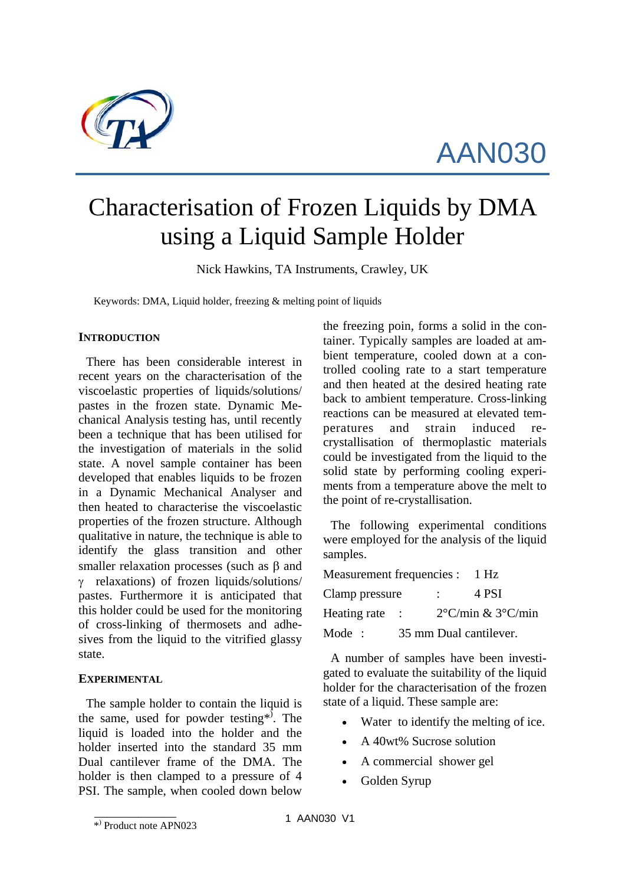

AAN030

# Characterisation of Frozen Liquids by DMA using a Liquid Sample Holder

Nick Hawkins, TA Instruments, Crawley, UK

Keywords: DMA, Liquid holder, freezing & melting point of liquids

# **INTRODUCTION**

There has been considerable interest in recent years on the characterisation of the viscoelastic properties of liquids/solutions/ pastes in the frozen state. Dynamic Mechanical Analysis testing has, until recently been a technique that has been utilised for the investigation of materials in the solid state. A novel sample container has been developed that enables liquids to be frozen in a Dynamic Mechanical Analyser and then heated to characterise the viscoelastic properties of the frozen structure. Although qualitative in nature, the technique is able to identify the glass transition and other smaller relaxation processes (such as β and γ relaxations) of frozen liquids/solutions/ pastes. Furthermore it is anticipated that this holder could be used for the monitoring of cross-linking of thermosets and adhesives from the liquid to the vitrified glassy state.

# **EXPERIMENTAL**

The sample holder to contain the liquid is the same, used for powder testing<sup>\*</sup>. The liquid is loaded into the holder and the holder inserted into the standard 35 mm Dual cantilever frame of the DMA. The holder is then clamped to a pressure of 4 PSI. The sample, when cooled down below

the freezing poin, forms a solid in the container. Typically samples are loaded at ambient temperature, cooled down at a controlled cooling rate to a start temperature and then heated at the desired heating rate back to ambient temperature. Cross-linking reactions can be measured at elevated temperatures and strain induced recrystallisation of thermoplastic materials could be investigated from the liquid to the solid state by performing cooling experiments from a temperature above the melt to the point of re-crystallisation.

The following experimental conditions were employed for the analysis of the liquid samples.

| Measurement frequencies : |  |               | $1$ Hz                                |
|---------------------------|--|---------------|---------------------------------------|
| Clamp pressure            |  | $\mathcal{L}$ | 4 PSI                                 |
| Heating rate :            |  |               | $2^{\circ}$ C/min & $3^{\circ}$ C/min |
| Mode:                     |  |               | 35 mm Dual cantilever.                |

A number of samples have been investigated to evaluate the suitability of the liquid holder for the characterisation of the frozen state of a liquid. These sample are:

- Water to identify the melting of ice.
- A 40wt% Sucrose solution
- A commercial shower gel
- Golden Syrup

 $\overline{\phantom{a}}$  ,  $\overline{\phantom{a}}$  ,  $\overline{\phantom{a}}$  ,  $\overline{\phantom{a}}$  ,  $\overline{\phantom{a}}$  ,  $\overline{\phantom{a}}$  ,  $\overline{\phantom{a}}$  ,  $\overline{\phantom{a}}$  ,  $\overline{\phantom{a}}$  ,  $\overline{\phantom{a}}$  ,  $\overline{\phantom{a}}$  ,  $\overline{\phantom{a}}$  ,  $\overline{\phantom{a}}$  ,  $\overline{\phantom{a}}$  ,  $\overline{\phantom{a}}$  ,  $\overline{\phantom{a}}$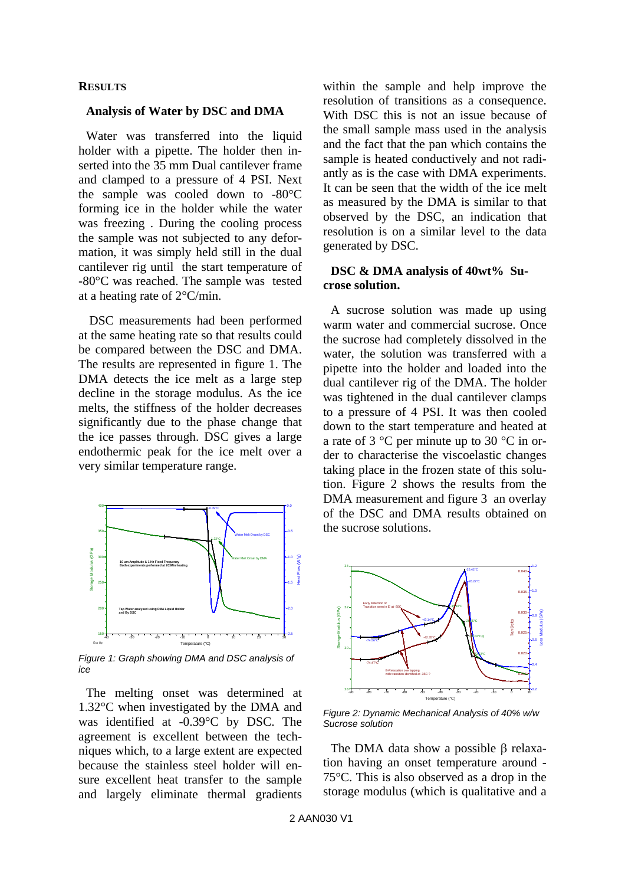## **RESULTS**

#### **Analysis of Water by DSC and DMA**

Water was transferred into the liquid holder with a pipette. The holder then inserted into the 35 mm Dual cantilever frame and clamped to a pressure of 4 PSI. Next the sample was cooled down to -80°C forming ice in the holder while the water was freezing . During the cooling process the sample was not subjected to any deformation, it was simply held still in the dual cantilever rig until the start temperature of -80°C was reached. The sample was tested at a heating rate of 2°C/min.

 DSC measurements had been performed at the same heating rate so that results could be compared between the DSC and DMA. The results are represented in figure 1. The DMA detects the ice melt as a large step decline in the storage modulus. As the ice melts, the stiffness of the holder decreases significantly due to the phase change that the ice passes through. DSC gives a large endothermic peak for the ice melt over a very similar temperature range.



*Figure 1: Graph showing DMA and DSC analysis of ice* 

The melting onset was determined at 1.32°C when investigated by the DMA and was identified at -0.39°C by DSC. The agreement is excellent between the techniques which, to a large extent are expected because the stainless steel holder will ensure excellent heat transfer to the sample and largely eliminate thermal gradients

within the sample and help improve the resolution of transitions as a consequence. With DSC this is not an issue because of the small sample mass used in the analysis and the fact that the pan which contains the sample is heated conductively and not radiantly as is the case with DMA experiments. It can be seen that the width of the ice melt as measured by the DMA is similar to that observed by the DSC, an indication that resolution is on a similar level to the data generated by DSC.

## **DSC & DMA analysis of 40wt% Sucrose solution.**

A sucrose solution was made up using warm water and commercial sucrose. Once the sucrose had completely dissolved in the water, the solution was transferred with a pipette into the holder and loaded into the dual cantilever rig of the DMA. The holder was tightened in the dual cantilever clamps to a pressure of 4 PSI. It was then cooled down to the start temperature and heated at a rate of 3 °C per minute up to 30 °C in order to characterise the viscoelastic changes taking place in the frozen state of this solution. Figure 2 shows the results from the DMA measurement and figure 3 an overlay of the DSC and DMA results obtained on the sucrose solutions.



*Figure 2: Dynamic Mechanical Analysis of 40% w/w Sucrose solution* 

The DMA data show a possible β relaxation having an onset temperature around - 75°C. This is also observed as a drop in the storage modulus (which is qualitative and a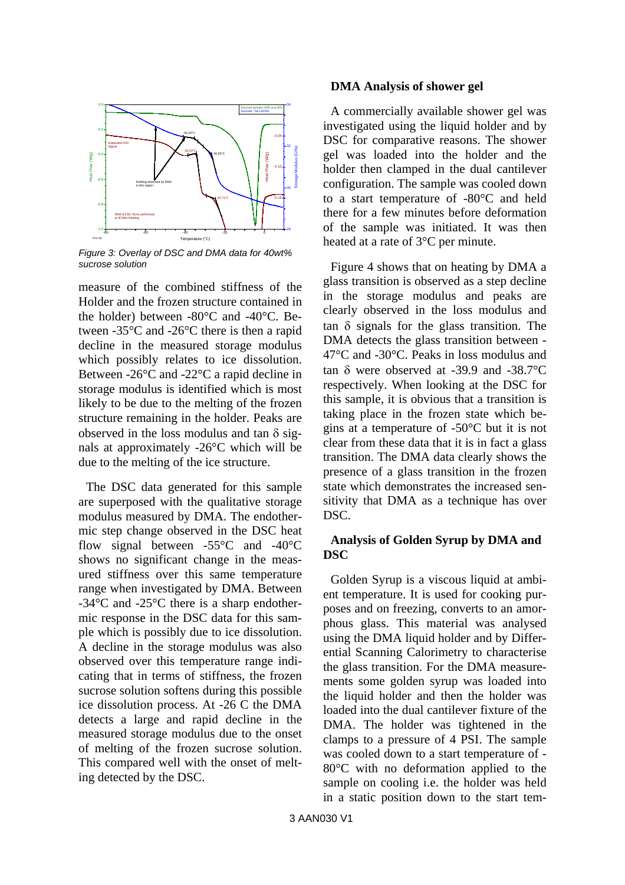

*Figure 3: Overlay of DSC and DMA data for 40wt% sucrose solution* 

measure of the combined stiffness of the Holder and the frozen structure contained in the holder) between -80°C and -40°C. Between -35°C and -26°C there is then a rapid decline in the measured storage modulus which possibly relates to ice dissolution. Between -26°C and -22°C a rapid decline in storage modulus is identified which is most likely to be due to the melting of the frozen structure remaining in the holder. Peaks are observed in the loss modulus and tan  $\delta$  signals at approximately -26°C which will be due to the melting of the ice structure.

The DSC data generated for this sample are superposed with the qualitative storage modulus measured by DMA. The endothermic step change observed in the DSC heat flow signal between  $-55^{\circ}$ C and  $-40^{\circ}$ C shows no significant change in the measured stiffness over this same temperature range when investigated by DMA. Between -34°C and -25°C there is a sharp endothermic response in the DSC data for this sample which is possibly due to ice dissolution. A decline in the storage modulus was also observed over this temperature range indicating that in terms of stiffness, the frozen sucrose solution softens during this possible ice dissolution process. At -26 C the DMA detects a large and rapid decline in the measured storage modulus due to the onset of melting of the frozen sucrose solution. This compared well with the onset of melting detected by the DSC.

## **DMA Analysis of shower gel**

A commercially available shower gel was investigated using the liquid holder and by DSC for comparative reasons. The shower gel was loaded into the holder and the holder then clamped in the dual cantilever configuration. The sample was cooled down to a start temperature of -80°C and held there for a few minutes before deformation of the sample was initiated. It was then heated at a rate of 3°C per minute.

Figure 4 shows that on heating by DMA a glass transition is observed as a step decline in the storage modulus and peaks are clearly observed in the loss modulus and tan δ signals for the glass transition. The DMA detects the glass transition between - 47°C and -30°C. Peaks in loss modulus and tan δ were observed at -39.9 and -38.7°C respectively. When looking at the DSC for this sample, it is obvious that a transition is taking place in the frozen state which begins at a temperature of -50°C but it is not clear from these data that it is in fact a glass transition. The DMA data clearly shows the presence of a glass transition in the frozen state which demonstrates the increased sensitivity that DMA as a technique has over DSC.

# **Analysis of Golden Syrup by DMA and DSC**

Golden Syrup is a viscous liquid at ambient temperature. It is used for cooking purposes and on freezing, converts to an amorphous glass. This material was analysed using the DMA liquid holder and by Differential Scanning Calorimetry to characterise the glass transition. For the DMA measurements some golden syrup was loaded into the liquid holder and then the holder was loaded into the dual cantilever fixture of the DMA. The holder was tightened in the clamps to a pressure of 4 PSI. The sample was cooled down to a start temperature of - 80°C with no deformation applied to the sample on cooling i.e. the holder was held in a static position down to the start tem-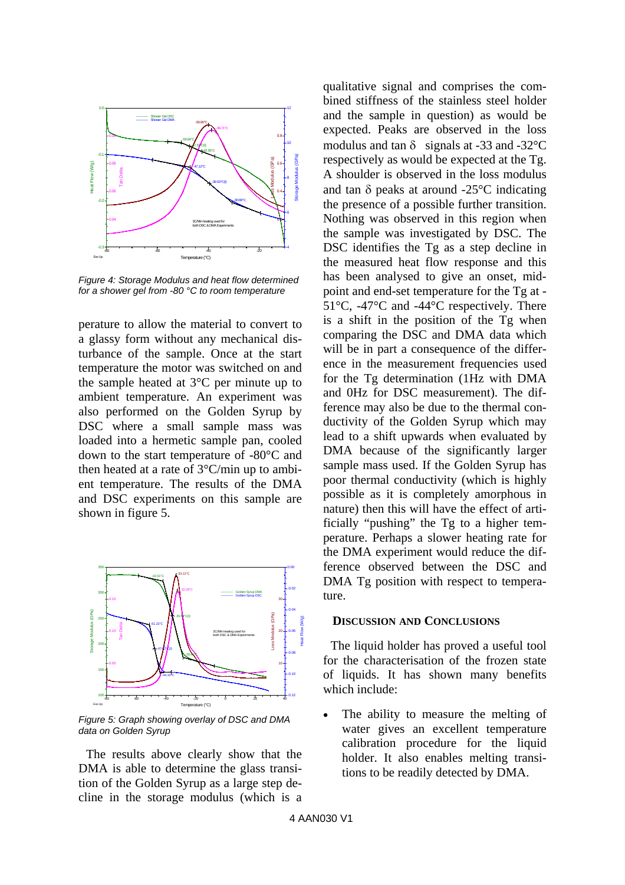

*Figure 4: Storage Modulus and heat flow determined for a shower gel from -80 °C to room temperature* 

perature to allow the material to convert to a glassy form without any mechanical disturbance of the sample. Once at the start temperature the motor was switched on and the sample heated at 3°C per minute up to ambient temperature. An experiment was also performed on the Golden Syrup by DSC where a small sample mass was loaded into a hermetic sample pan, cooled down to the start temperature of -80°C and then heated at a rate of 3°C/min up to ambient temperature. The results of the DMA and DSC experiments on this sample are shown in figure 5.



*Figure 5: Graph showing overlay of DSC and DMA data on Golden Syrup* 

The results above clearly show that the DMA is able to determine the glass transition of the Golden Syrup as a large step decline in the storage modulus (which is a qualitative signal and comprises the combined stiffness of the stainless steel holder and the sample in question) as would be expected. Peaks are observed in the loss modulus and tan  $\delta$  signals at -33 and -32 $^{\circ}$ C respectively as would be expected at the Tg. A shoulder is observed in the loss modulus and tan  $\delta$  peaks at around -25 $\mathrm{^{\circ}C}$  indicating the presence of a possible further transition. Nothing was observed in this region when the sample was investigated by DSC. The DSC identifies the T<sub>g</sub> as a step decline in the measured heat flow response and this has been analysed to give an onset, midpoint and end-set temperature for the Tg at - 51°C, -47°C and -44°C respectively. There is a shift in the position of the Tg when comparing the DSC and DMA data which will be in part a consequence of the difference in the measurement frequencies used for the Tg determination (1Hz with DMA and 0Hz for DSC measurement). The difference may also be due to the thermal conductivity of the Golden Syrup which may lead to a shift upwards when evaluated by DMA because of the significantly larger sample mass used. If the Golden Syrup has poor thermal conductivity (which is highly possible as it is completely amorphous in nature) then this will have the effect of artificially "pushing" the Tg to a higher temperature. Perhaps a slower heating rate for the DMA experiment would reduce the difference observed between the DSC and DMA Tg position with respect to temperature.

#### **DISCUSSION AND CONCLUSIONS**

The liquid holder has proved a useful tool for the characterisation of the frozen state of liquids. It has shown many benefits which include:

The ability to measure the melting of water gives an excellent temperature calibration procedure for the liquid holder. It also enables melting transitions to be readily detected by DMA.